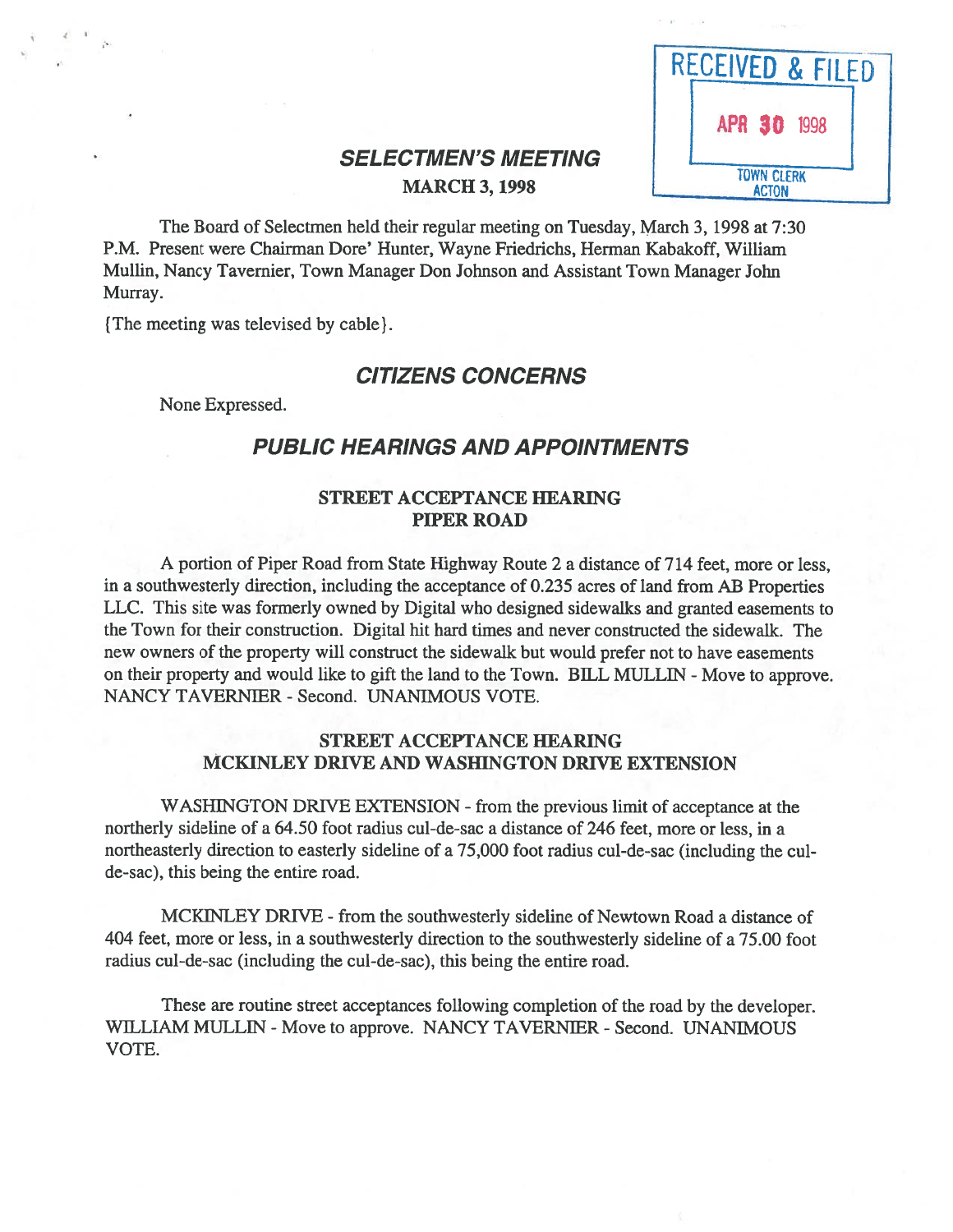| RECEIVED & FILED |                                   |
|------------------|-----------------------------------|
|                  | APR 30 1998                       |
|                  | <b>TOWN CLERK</b><br><b>ACTON</b> |

# **SELECTMEN'S MEETING MARCH 3, 1998**

The Board of Selectmen held their regular meeting on Tuesday, March 3, 1998 at 7:30 P.M. Present were Chairman Dore' Hunter, Wayne Friedrichs, Herman Kabakoff, William Mullin, Nancy Tavernier, Town Manager Don Johnson and Assistant Town Manager John Murray.

{The meeting was televised by cable).

# CITIZENS CONCERNS

None Expressed.

 $\epsilon$  is

# PUBLIC HEARINGS AND APPOINTMENTS

#### STREET ACCEPTANCE HEARING PIPER ROAD

A portion of Piper Road from State Highway Route 2 <sup>a</sup> distance of 714 feet, more or less, in <sup>a</sup> southwesterly direction, including the acceptance of 0.235 acres of land from AB Properties LLC. This site was formerly owned by Digital who designed sidewalks and granted easements to the Town for their construction. Digital hit hard times and never constructed the sidewalk. The new owners of the property will construct the sidewalk but would prefer not to have easements on their property and would like to gift the land to the Town. BILL MULLIN - Move to approve. NANCY TAVERNIER - Second. UNANIMOUS VOTE.

#### STREET ACCEPTANCE HEARING MCKINLEY DRIVE AND WASHINGTON DRIVE EXTENSION

WASHINGTON DRIVE EXTENSION - from the previous limit of acceptance at the northerly sideline of <sup>a</sup> 64.50 foot radius cul-de-sac <sup>a</sup> distance of 246 feet, more or less, in <sup>a</sup> northeasterly direction to easterly sideline of <sup>a</sup> 75,000 foot radius cul-de-sac (including the cul de-sac), this being the entire road.

MCKINLEY DRIVE - from the southwesterly sideline of Newtown Road <sup>a</sup> distance of 404 feet, more or less, in <sup>a</sup> southwesterly direction to the southwesterly sideline of <sup>a</sup> 75.00 foot radius cul-de-sac (including the cul-de-sac), this being the entire road.

These are routine street acceptances following completion of the road by the developer. WILLIAM MULLIN - Move to approve. NANCY TAVERNIER - Second. UNANIMOUS VOTE.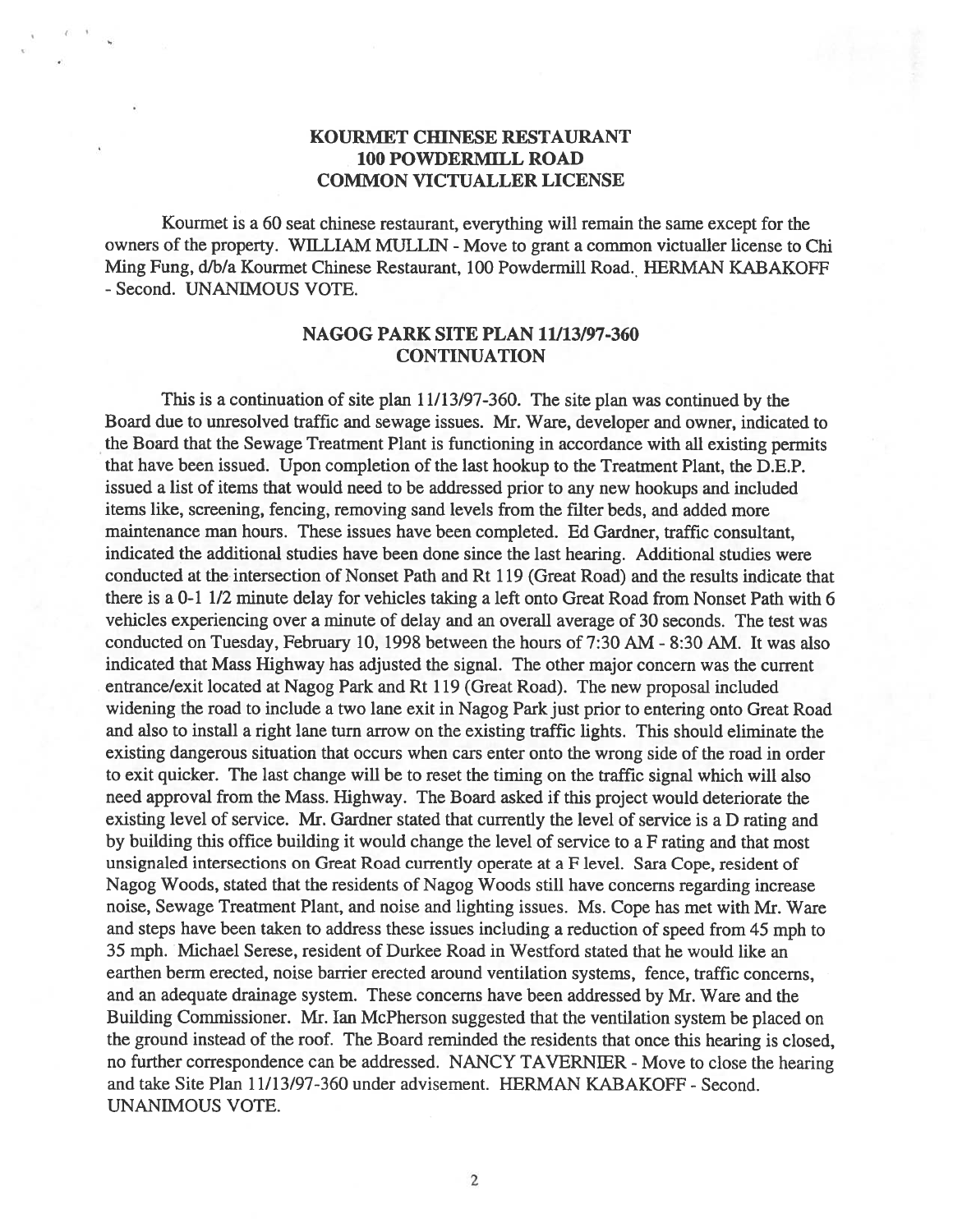## KOURMET CHINESE RESTAURANT 100 POWDERMILL ROAD COMMON VICTUALLER LICENSE

 $\leftarrow$ 

Kourmet is <sup>a</sup> 60 seat chinese restaurant, everything will remain the same excep<sup>t</sup> for the owners of the property. WILLIAM MULLIN - Move to grant a common victualler license to Chi Ming Fung, d/b/a Kourmet Chinese Restaurant, 100 Powdermill Road. HERMAN KABAKOFF -Second. UNANIMOUS VOTE.

#### NAGOG PARK SITE PLAN 11113/97-360 CONTINUATION

This is <sup>a</sup> continuation of site plan 11/13/97-360. The site plan was continued by the Board due to unresolved traffic and sewage issues. Mr. Ware, developer and owner, indicated to the Board that the Sewage Treatment Plant is functioning in accordance with all existing permits that have been issued. Upon completion of the last hookup to the Treatment Plant, the D.E.P. issued <sup>a</sup> list of items that would need to be addressed prior to any new hookups and included items like, screening, fencing, removing sand levels from the filter beds, and added more maintenance man hours. These issues have been completed. Ed Gardner, traffic consultant, indicated the additional studies have been done since the last hearing. Additional studies were conducted at the intersection of Nonset Path and Rt 119 (Great Road) and the results indicate that there is <sup>a</sup> 0-11/2 minute delay for vehicles taking <sup>a</sup> left onto Great Road from Nonset Path with 6 vehicles experiencing over <sup>a</sup> minute of delay and an overall average of 30 seconds. The test was conducted on Tuesday, February 10, 1998 between the hours of 7:30 AM - 8:30 AM. It was also indicated that Mass Highway has adjusted the signal. The other major concern was the current entrance/exit located at Nagog Park and Rt 119 (Great Road). The new proposal included widening the road to include <sup>a</sup> two lane exit in Nagog Park just prior to entering onto Great Road and also to install <sup>a</sup> right lane turn arrow on the existing traffic lights. This should eliminate the existing dangerous situation that occurs when cars enter onto the wrong side of the road in order to exit quicker. The last change will be to reset the timing on the traffic signal which will also need approval from the Mass. Highway. The Board asked if this project would deteriorate the existing level of service. Mr. Gardner stated that currently the level of service is <sup>a</sup> <sup>D</sup> rating and by building this office building it would change the level of service to <sup>a</sup> <sup>F</sup> rating and that most unsignaled intersections on Great Road currently operate at <sup>a</sup> <sup>F</sup> level. Sara Cope, resident of Nagog Woods, stated that the residents of Nagog Woods still have concerns regarding increase noise, Sewage Treatment Plant, and noise and lighting issues. Ms. Cope has met with Mr. Ware and steps have been taken to address these issues including <sup>a</sup> reduction of speed from 45 mp<sup>h</sup> to 35 mph. Michael Serese, resident of Durkee Road in Westford stated that he would like an earthen berm erected, noise barrier erected around ventilation systems, fence, traffic concerns, and an adequate drainage system. These concerns have been addressed by Mr. Ware and the Building Commissioner. Mr. Ian McPherson suggested that the ventilation system be <sup>p</sup>laced on the groun<sup>d</sup> instead of the roof. The Board reminded the residents that once this hearing is closed, no further correspondence can be addressed. NANCY TAVERNIER - Move to close the hearing and take Site Plan 11/13/97-360 under advisement. HERMAN KABAKOFF - Second. UNANIMOUS VOTE.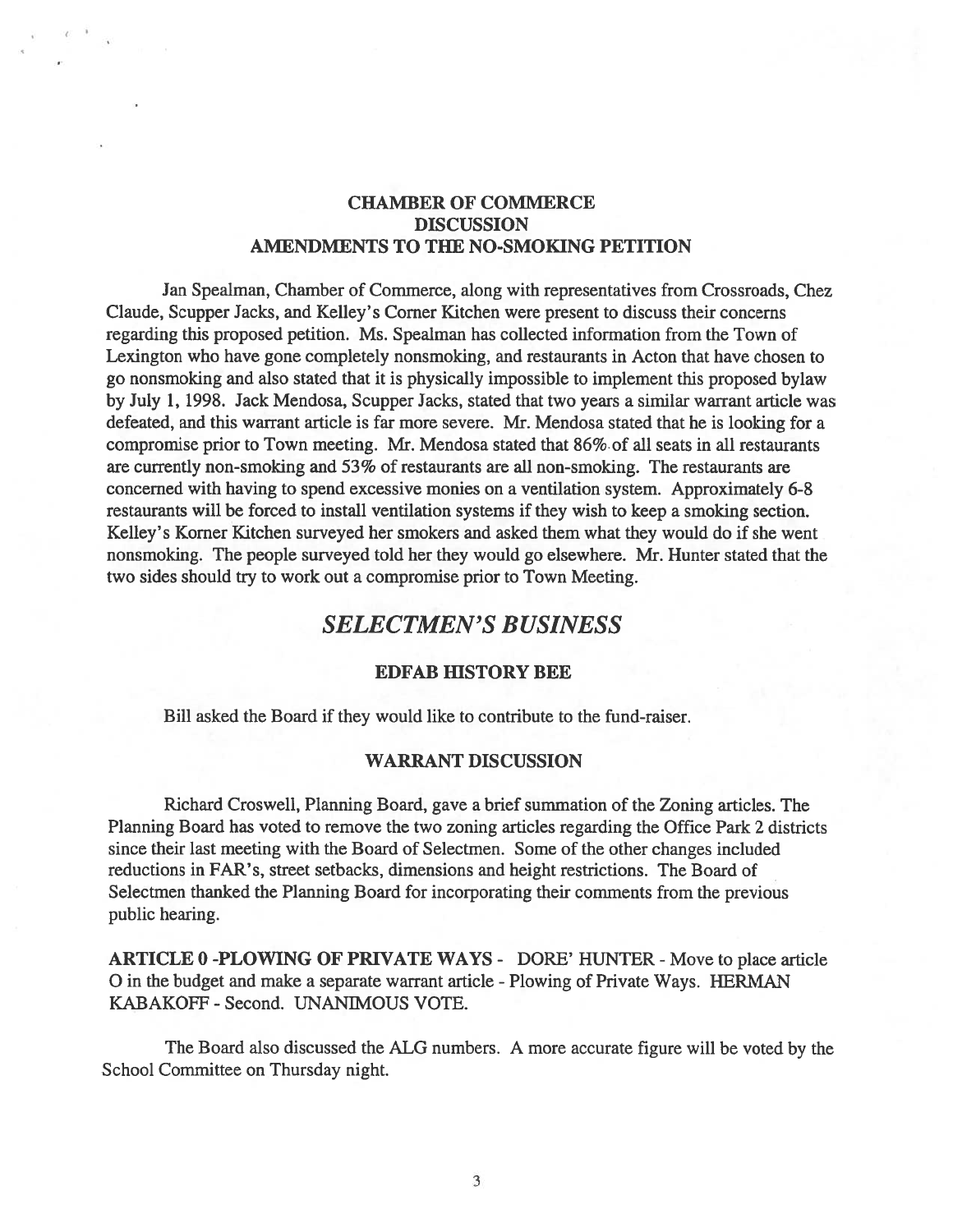### CHAMBER OF COMMERCE **DISCUSSION** AMENDMENTS TO THE NO-SMOKING PETITION

Jan Spealman, Chamber of Commerce, along with representatives from Crossroads, Chez Claude, Scupper Jacks, and Kelley's Corner Kitchen were presen<sup>t</sup> to discuss their concerns regarding this proposed petition. Ms. Spealman has collected information from the Town of Lexington who have gone completely nonsmoking, and restaurants in Acton that have chosen to go nonsmoking and also stated that it is physically impossible to implement this proposed bylaw by July 1, 1998. Jack Mendosa, Scupper Jacks, stated that two years <sup>a</sup> similar warrant article was defeated, and this warrant article is far more severe. Mr. Mendosa stated that he is looking for <sup>a</sup> compromise prior to Town meeting. Mr. Mendosa stated that 86% of all seats in all restaurants are currently non-smoking and 53% of restaurants are all non-smoking. The restaurants are concerned with having to spend excessive monies on <sup>a</sup> ventilation system. Approximately 6-8 restaurants will be forced to install ventilation systems if they wish to keep <sup>a</sup> smoking section. Kelley's Korner Kitchen surveyed her smokers and asked them what they would do if she went nonsmoking. The people surveyed told her they would go elsewhere. Mr. Hunter stated that the two sides should try to work out <sup>a</sup> compromise prior to Town Meeting.

# SELECTMEN'S BUSINESS

#### EDFAB HISTORY BEE

Bill asked the Board if they would like to contribute to the fund-raiser.

#### WARRANT DISCUSSION

Richard Croswell, Planning Board, gave <sup>a</sup> brief summation of the Zoning articles. The Planning Board has voted to remove the two zoning articles regarding the Office Park 2 districts since their last meeting with the Board of Selectmen. Some of the other changes included reductions in FAR's, street setbacks, dimensions and height restrictions. The Board of Selectmen thanked the Planning Board for incorporating their comments from the previous public hearing.

ARTICLE 0-PLOWING OF PRIVATE WAYS - DORE' HUNTER - Move to place article O in the budget and make <sup>a</sup> separate warrant article -Plowing of Private Ways. HERMAN KABAKOFF - Second. UNANIMOUS VOTE.

The Board also discussed the ALG numbers. A more accurate figure will be voted by the School Committee on Thursday night.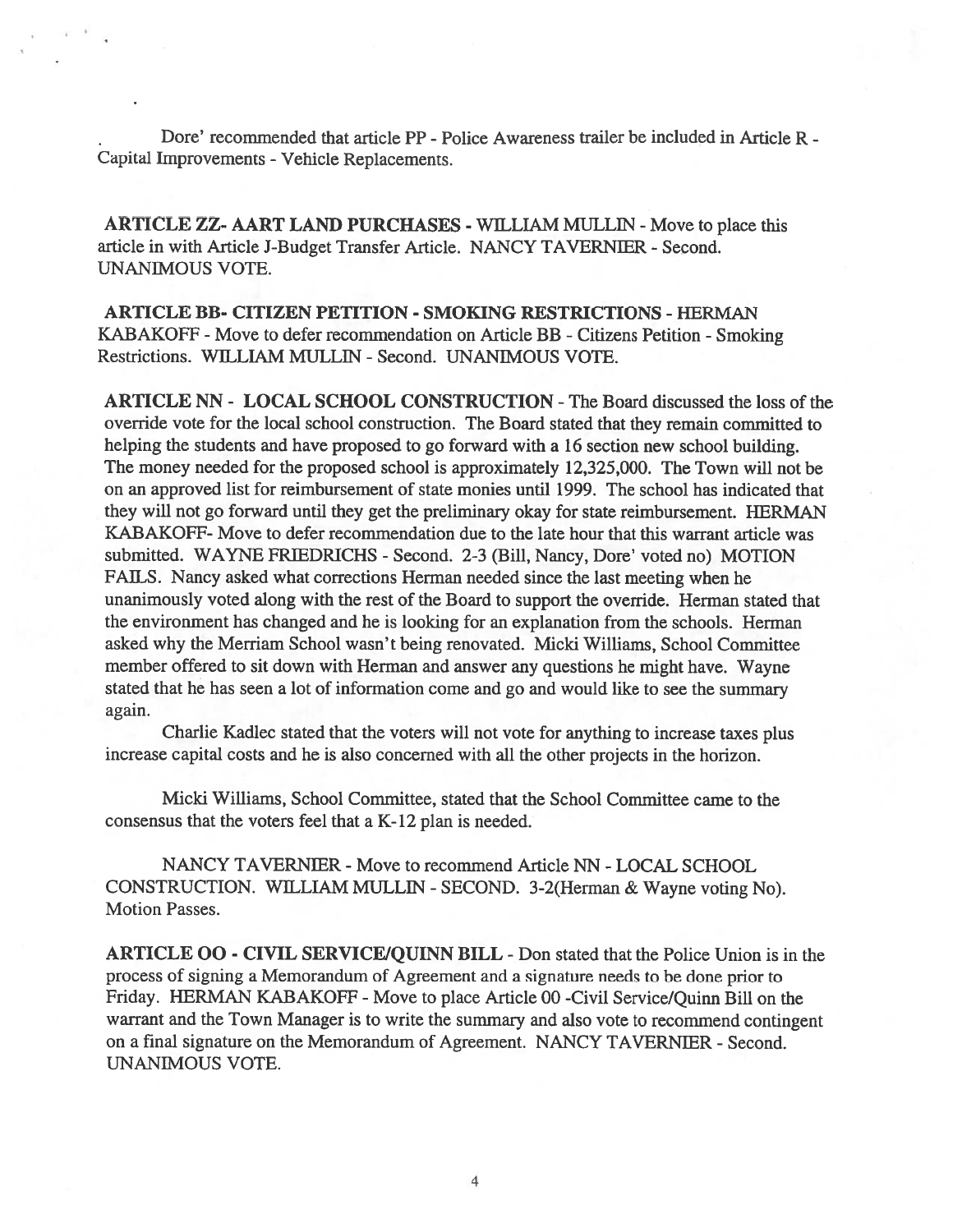Dore' recommended that article PP - Police Awareness trailer be included in Article R -Capital Improvements - Vehicle Replacements.

ARTICLE ZZ- AART LAND PURCHASES - WILLIAM MULLIN - Move to place this article in with Article J-Budget Transfer Article. NANCY TAVERNIER - Second. UNANIMOUS VOTE.

ARTICLE BB- CITIZEN PETITION - SMOKING RESTRICTIONS -HERMAN KABAKOFF - Move to defer recommendation on Article BB - Citizens Petition - Smoking Restrictions. WILLIAM MULLIN -Second. UNANIMOUS VOTE.

ARTICLE NN - LOCAL SCHOOL CONSTRUCTION -The Board discussed the loss of the override vote for the local school construction. The Board stated that they remain committed to helping the students and have proposed to go forward with <sup>a</sup> 16 section new school building. The money needed for the proposed school is approximately 12,325,000. The Town will not be on an approved list for reimbursement of state monies until 1999. The school has indicated that they will not go forward until they ge<sup>t</sup> the preliminary okay for state reimbursement. HERMAN KABAKOFF- Move to defer recommendation due to the late hour that this warrant article was submitted. WAYNE FRIEDRICHS - Second. 2-3 (Bill, Nancy, Dore' voted no) MOTION FAILS. Nancy asked what corrections Herman needed since the last meeting when he unanimously voted along with the rest of the Board to suppor<sup>t</sup> the override. Herman stated that the environment has changed and he is looking for an explanation from the schools. Herman asked why the Merriam School wasn't being renovated. Micki Williams, School Committee member offered to sit down with Herman and answer any questions he might have. Wayne stated that he has seen <sup>a</sup> lot of information come and go and would like to see the summary again.

Charlie Kadlec stated that the voters will not vote for anything to increase taxes plus increase capital costs and he is also concerned with all the other projects in the horizon.

Micki Williams, School Committee, stated that the School Committee came to the consensus that the voters feel that <sup>a</sup> K-12 plan is needed.

NANCY TAVERNIER - Move to recommend Article NN - LOCAL SCHOOL CONSTRUCTION. WILLIAM MULLIN -SECOND. 3-2(Herman & Wayne voting No). Motion Passes.

ARTICLE 00 - CIVIL SERVICE/QUINN BILL -Don stated that the Police Union is in the process of signing <sup>a</sup> Memorandum of Agreement and <sup>a</sup> signature needs to be done prior to Friday. HERMAN KABAKOFF - Move to place Article 00 -Civil Service/Quinn Bill on the warrant and the Town Manager is to write the summary and also vote to recommend contingent on <sup>a</sup> final signature on the Memorandum of Agreement. NANCY TAVERNIER - Second. UNANIMOUS VOTE.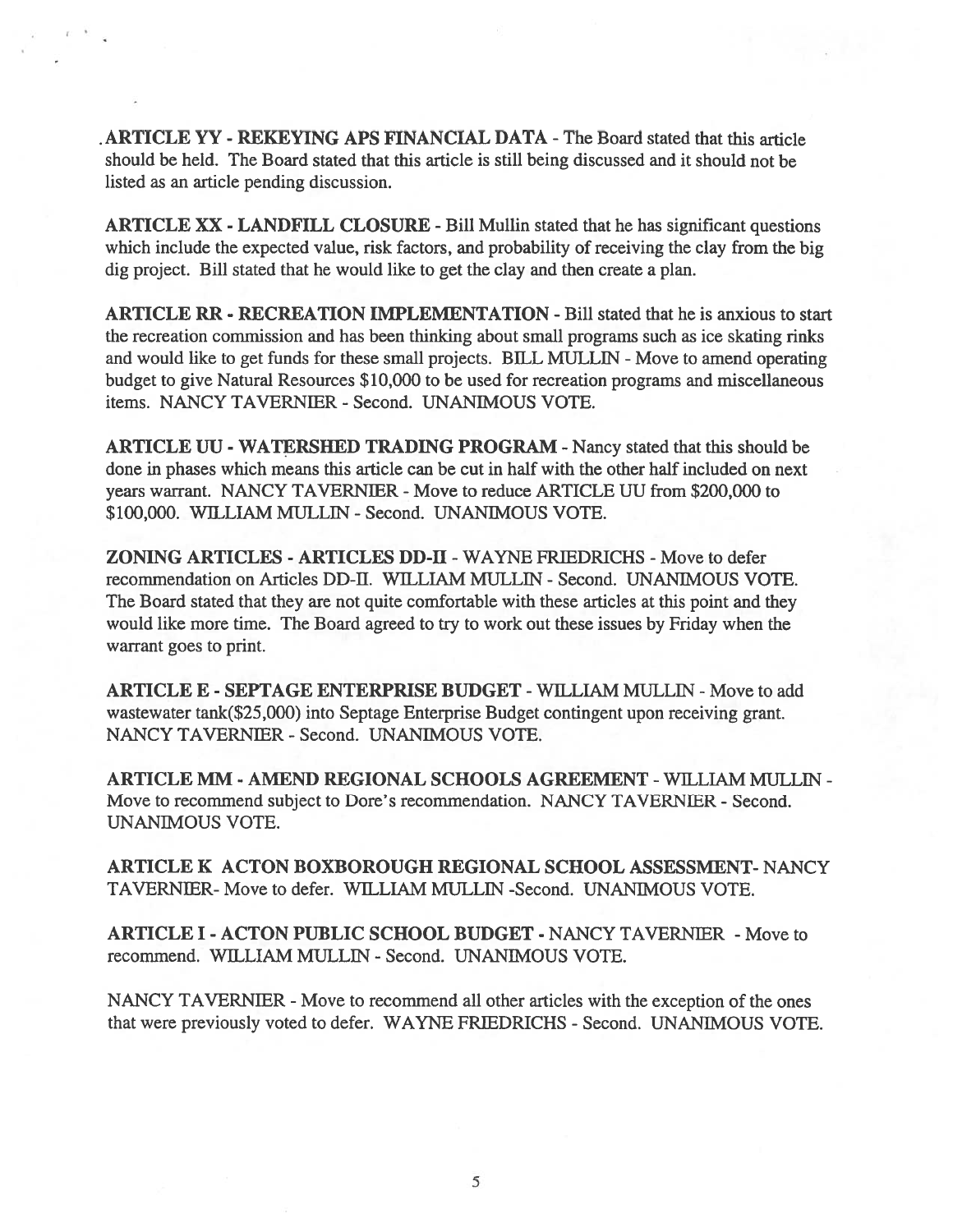ARTICLE YY -REKEYING APS FINANCIAL DATA -The Board stated that this article should be held. The Board stated that this article is still being discussed and it should not be listed as an article pending discussion.

ARTICLE XX - LANDFILL CLOSURE -Bill Mullin stated that he has significant questions which include the expected value, risk factors, and probability of receiving the clay from the big dig project. Bill stated that he would like to ge<sup>t</sup> the clay and then create <sup>a</sup> plan.

ARTICLE RR - RECREATION IMPLEMENTATION -Bill stated that he is anxious to start the recreation commission and has been thinking about small programs such as ice skating rinks and would like to get funds for these small projects. BILL MULLIN - Move to amend operating budget to give Natural Resources \$10,000 to be used for recreation programs and miscellaneous items. NANCY TAVERNIER - Second. UNANIMOUS VOTE.

ARTICLE UU - WATERSHED TRADING PROGRAM -Nancy stated that this should be done in phases which means this article can be cut in half with the other half included on next years warrant. NANCY TAVERNIER - Move to reduce ARTICLE UU from \$200,000 to \$100,000. WILLIAM MULLIN -Second. UNANIMOUS VOTE.

ZONING ARTICLES - ARTICLES DD-II - WAYNE FRIEDRICHS - Move to defer recommendation on Articles DD-ll. WILLIAM MULL1N - Second. UNANIMOUS VOTE. The Board stated that they are not quite comfortable with these articles at this point and they would like more time. The Board agreed to try to work out these issues by Friday when the warrant goes to print.

ARTICLE E - SEPTAGE ENTERPRISE BUDGET - WILLIAM MULLIN - Move to add wastewater tank(\$25,000) into Septage Enterprise Budget contingent upon receiving grant. NANCY TAVERNIER -Second. UNANIMOUS VOTE.

ARTICLE MM - AMEND REGIONAL SCHOOLS AGREEMENT -WILLIAM MULUN - Move to recommend subject to Dore's recommendation. NANCY TAVERNIER - Second. UNANIMOUS VOTE.

ARTICLE K ACTON BOXBOROUGH REGIONAL SCHOOL ASSESSMENT- NANCY TAVERNIER- Move to defer. WILLIAM MULLIN -Second. UNANIMOUS VOTE.

ARTICLE I - ACTON PUBLIC SCHOOL BUDGET - NANCY TAVERNIER - Move to recommend. WILLIAM MULLIN -Second. UNANIMOUS VOTE.

NANCY TAVERNIER - Move to recommend all other articles with the exception of the ones that were previously voted to defer. WAYNE FRIEDRICHS - Second. UNANIMOUS VOTE.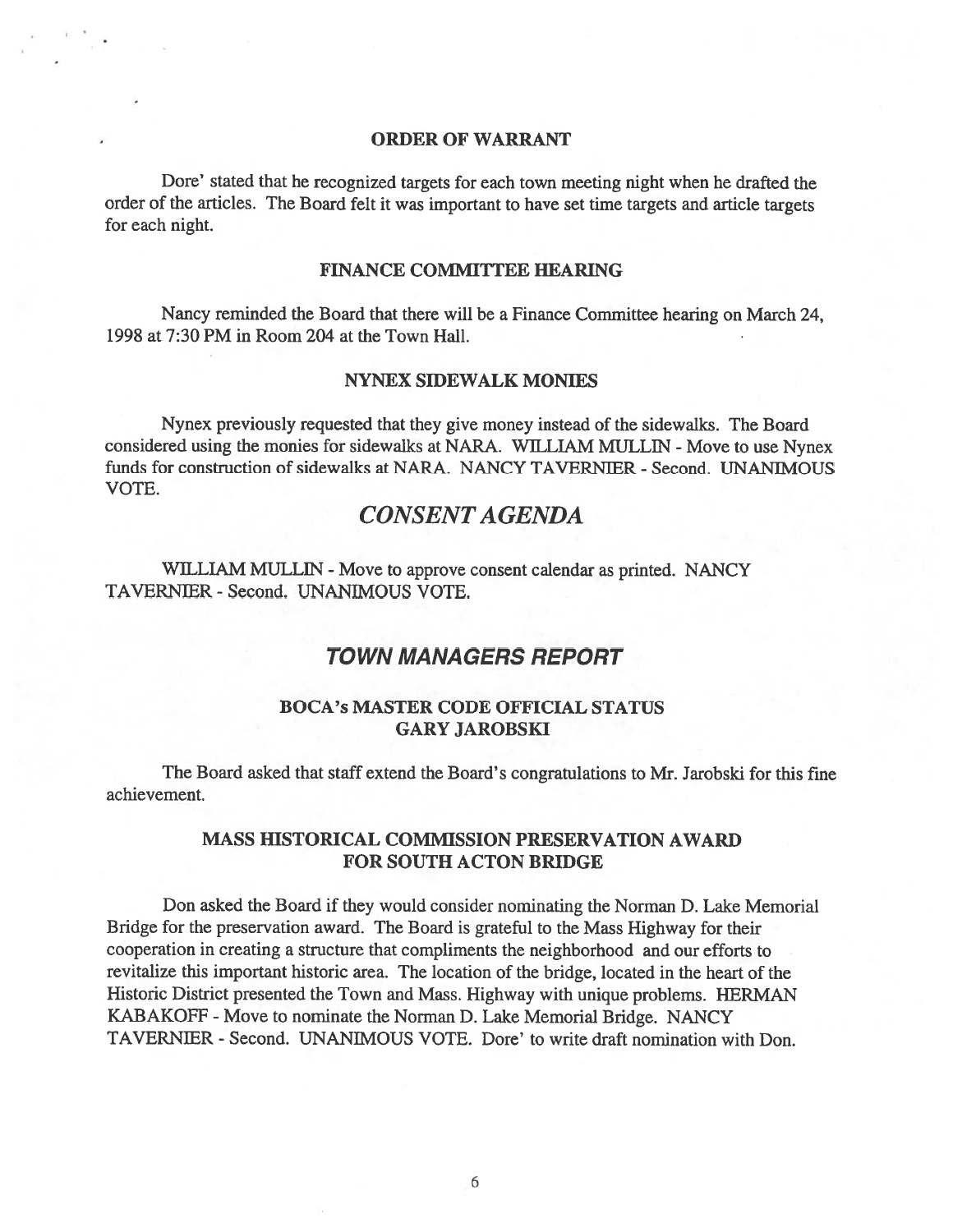#### ORDER OF WARRANT

Dore' stated that he recognized targets for each town meeting night when he drafted the order of the articles. The Board felt it was important to have set time targets and article targets for each night.

#### FINANCE COMMITTEE HEARING

Nancy reminded the Board that there will be <sup>a</sup> finance Committee hearing on March 24, 1998 at 7:30 PM in Room 204 at the Town Hall.

#### NYNEX SIDEWALK MONIES

Nynex previously requested that they give money instead of the sidewalks. The Board considered using the monies for sidewalks at NARA. WILLIAM MULLIN - Move to use Nynex funds for construction of sidewalks at NARA. NANCY TAVERNIER - Second. UNANIMOUS VOTE.

# CONSENTAGENDA

WILLIAM MULLIN - Move to approve consent calendar as printed. NANCY TAVERNIER -Second. UNANIMOUS VOTE.

## TOWN MANAGERS REPORT

#### BOCA's MASTER CODE OFFICIAL STATUS GARY JAROBSKI

The Board asked that staff extend the Board's congratulations to Mr. Jarobski for this fine achievement.

#### MASS HISTORICAL COMMISSION PRESERVATION AWARD FOR SOUTH ACTON BRIDGE

Don asked the Board if they would consider nominating the Norman D. Lake Memorial Bridge for the preservation award. The Board is grateful to the Mass Highway for their cooperation in creating <sup>a</sup> structure that compliments the neighborhood and our efforts to revitalize this important historic area. The location of the bridge, located in the heart of the Historic District presented the Town and Mass. Highway with unique problems. HERMAN KABAKOFF - Move to nominate the Norman D. Lake Memorial Bridge. NANCY TAVERNIER -Second. UNANIMOUS VOTE. Dore' to write draft nomination with Don.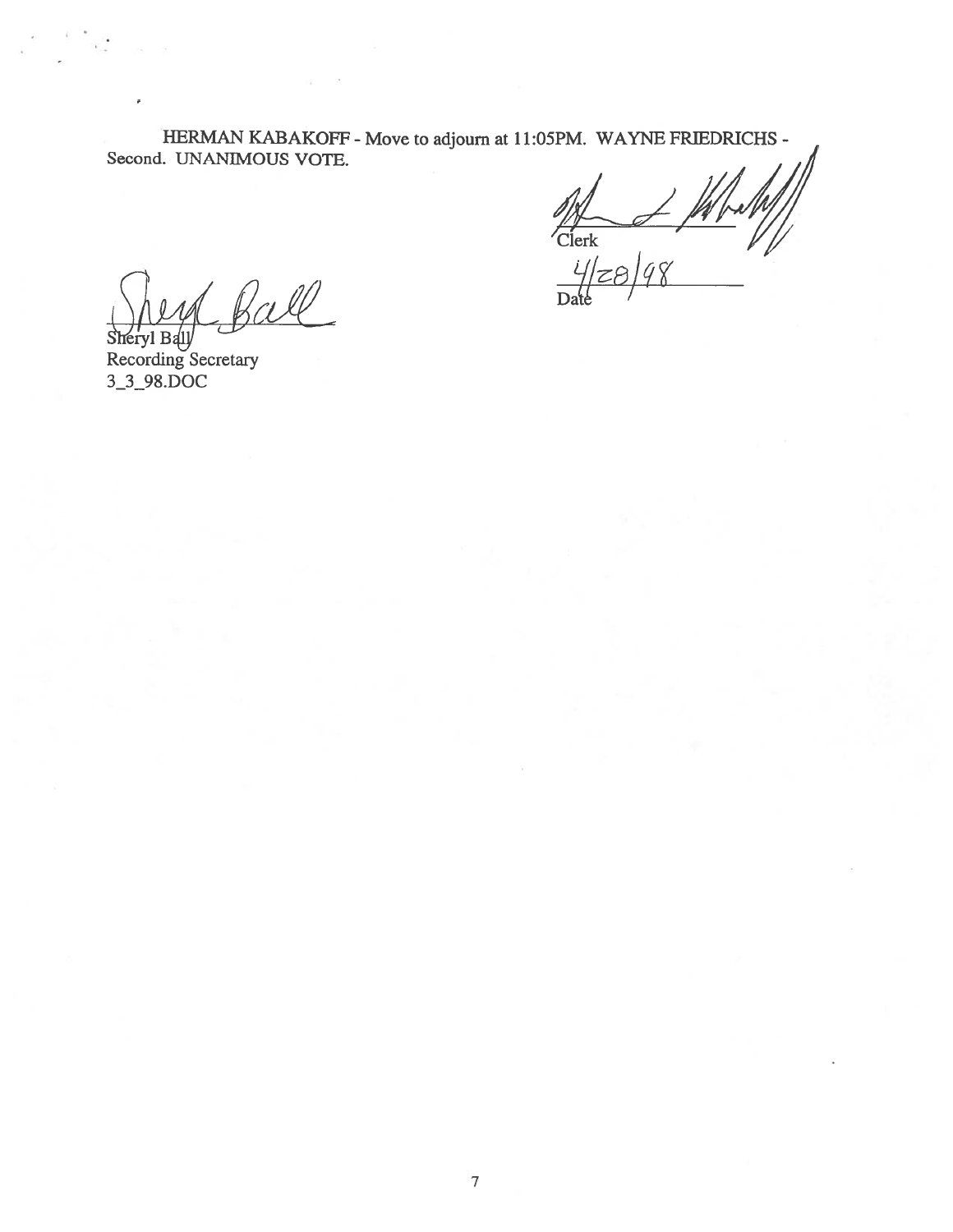HERMAN KABAKOFF - Move to adjourn at 11:05PM. WAYNE FRIEDRICHS -Second. UNANIMOUS VOTE.

 $Clerk$  //

 $\frac{71}{6}$ 

W

 $S$ heryl Ball $y$ Recording Secretary 3\_3\_9\$.DOC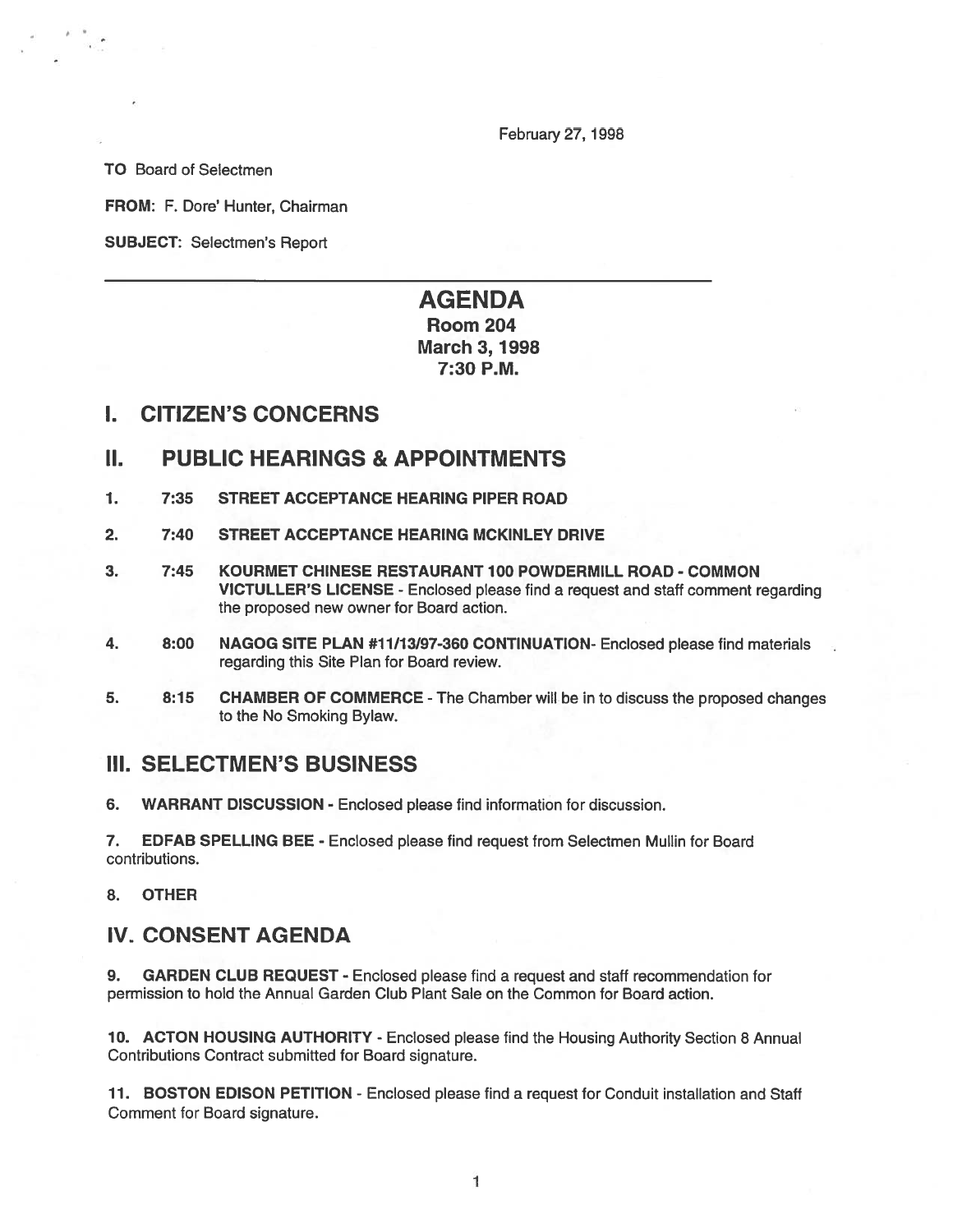February 27, 1998

TO Board of Selectmen

FROM: F. Dore' Hunter, Chairman

SUBJECT: Selectmen's Report

# AGENDA Room 204 **March 3, 1998** 7:30 P.M.

### I. CITIZEN'S CONCERNS

### II. PUBLIC HEARINGS & APPOINTMENTS

- 1. 7:35 STREET ACCEPTANCE HEARING PIPER ROAD
- 2. 7:40 STREET ACCEPTANCE HEARING MCKINLEY DRIVE
- 3. 7:45 KOURMET CHINESE RESTAURANT 100 POWDERMILL ROAD COMMON VICTULLER'S LICENSE - Enclosed please find <sup>a</sup> reques<sup>t</sup> and staff comment regarding the proposed new owner for Board action.
- 4. 8:00 NAGOG SITE PLAN #11/13/97-360 CONTINUATION- Enclosed please find materials regarding this Site Plan for Board review.
- 5. 8:15 CHAMBER OF COMMERCE -The Chamber will be in to discuss the proposed changes to the No Smoking Bylaw.

## III. SELECTMEN'S BUSINESS

6. WARRANT DISCUSSION - Enclosed please find information for discussion.

7. EDFAB SPELLING BEE - Enclosed please find reques<sup>t</sup> from Selectmen Mullin for Board contributions.

8. OTHER

# IV. CONSENT AGENDA

9. GARDEN CLUB REQUEST - Enclosed please find <sup>a</sup> reques<sup>t</sup> and staff recommendation for permission to hold the Annual Garden Club Plant Sale on the Common for Board action.

10. ACTON HOUSING AUTHORITY - Enclosed please find the Housing Authority Section 8 Annual Contributions Contract submitted for Board signature.

11. BOSTON EDISON PETITION - Enclosed please find a request for Conduit installation and Staff Comment for Board signature.